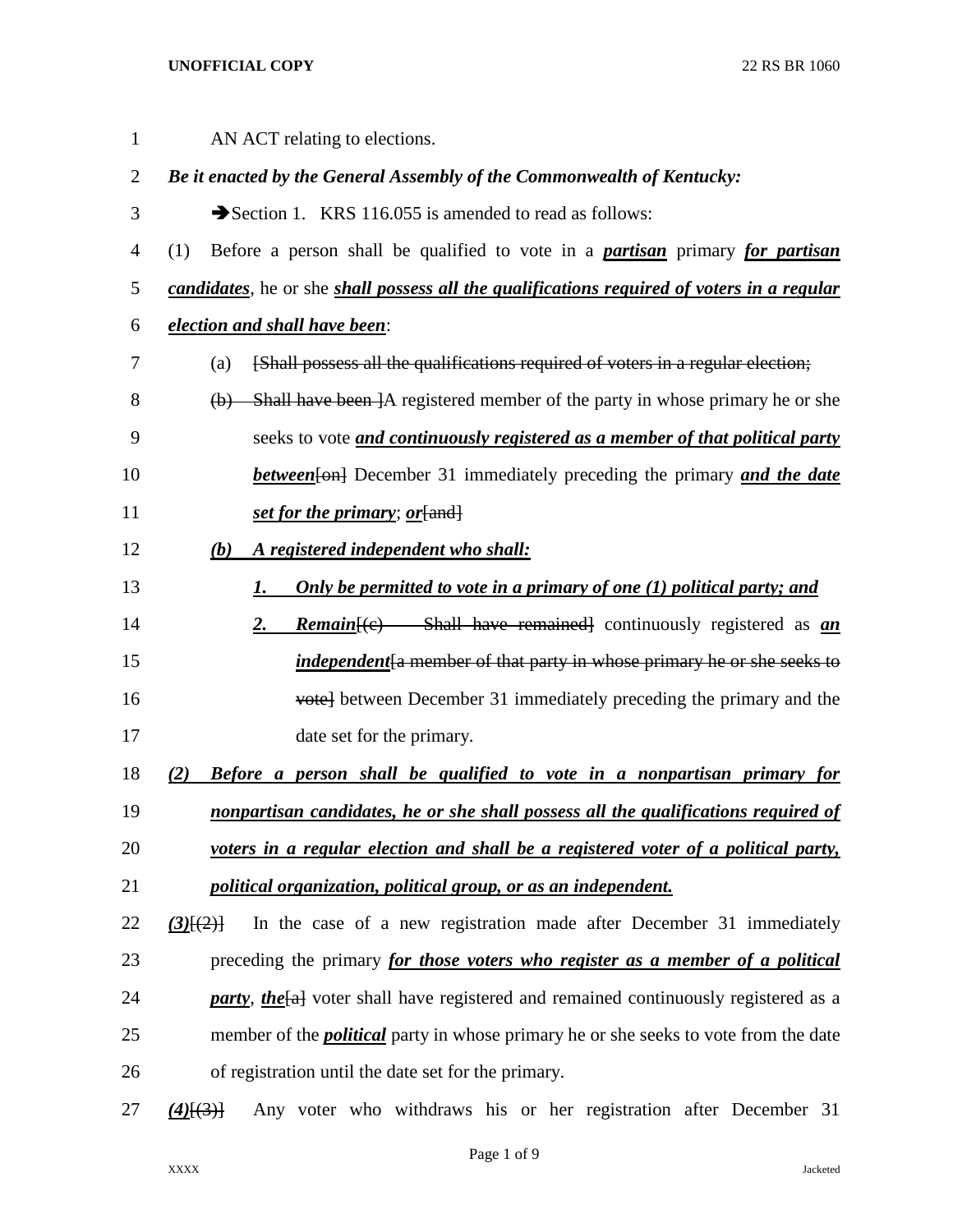| 1              | AN ACT relating to elections.                                                                      |
|----------------|----------------------------------------------------------------------------------------------------|
| $\overline{2}$ | Be it enacted by the General Assembly of the Commonwealth of Kentucky:                             |
| 3              | Section 1. KRS 116.055 is amended to read as follows:                                              |
| 4              | Before a person shall be qualified to vote in a <b>partisan</b> primary for <b>partisan</b><br>(1) |
| 5              | candidates, he or she shall possess all the qualifications required of voters in a regular         |
| 6              | election and shall have been:                                                                      |
| 7              | [Shall possess all the qualifications required of voters in a regular election;<br>(a)             |
| 8              | (b) Shall have been ]A registered member of the party in whose primary he or she                   |
| 9              | seeks to vote and continuously registered as a member of that political party                      |
| 10             | <b>between</b> [on] December 31 immediately preceding the primary and the date                     |
| 11             | set for the primary; or [and]                                                                      |
| 12             | A registered independent who shall:<br>(b)                                                         |
| 13             | Only be permitted to vote in a primary of one (1) political party; and<br>1.                       |
| 14             | <b>Remain</b> [(c) Shall have remained] continuously registered as <i>an</i><br>2.                 |
| 15             | <i>independent</i> [a member of that party in whose primary he or she seeks to                     |
| 16             | vote] between December 31 immediately preceding the primary and the                                |
| 17             | date set for the primary.                                                                          |
| 18             | <b>Before a person shall be qualified to vote in a nonpartisan primary for</b><br>(2)              |
| 19             | nonpartisan candidates, he or she shall possess all the qualifications required of                 |
| 20             | voters in a regular election and shall be a registered voter of a political party,                 |
| 21             | political organization, political group, or as an independent.                                     |
| 22             | In the case of a new registration made after December 31 immediately<br>$(3)$ [ $(2)$ ]            |
| 23             | preceding the primary for those voters who register as a member of a political                     |
| 24             | <b>party</b> , the [a] voter shall have registered and remained continuously registered as a       |
| 25             | member of the <i>political</i> party in whose primary he or she seeks to vote from the date        |
| 26             | of registration until the date set for the primary.                                                |
|                |                                                                                                    |

*(4)*[(3)] Any voter who withdraws his or her registration after December 31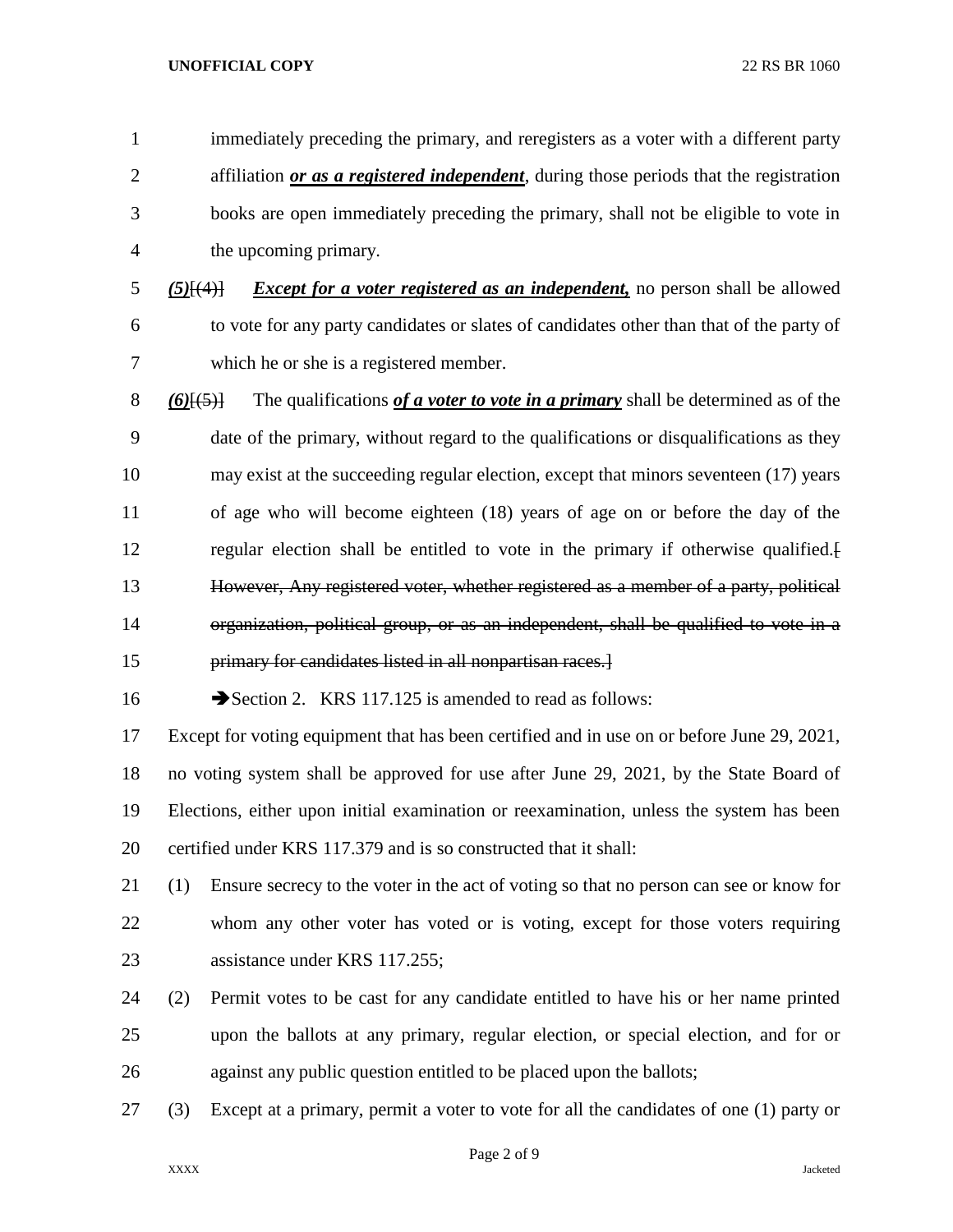immediately preceding the primary, and reregisters as a voter with a different party affiliation *or as a registered independent*, during those periods that the registration books are open immediately preceding the primary, shall not be eligible to vote in the upcoming primary. *(5)*[(4)] *Except for a voter registered as an independent,* no person shall be allowed to vote for any party candidates or slates of candidates other than that of the party of which he or she is a registered member. *(6)*[(5)] The qualifications *of a voter to vote in a primary* shall be determined as of the date of the primary, without regard to the qualifications or disqualifications as they may exist at the succeeding regular election, except that minors seventeen (17) years of age who will become eighteen (18) years of age on or before the day of the regular election shall be entitled to vote in the primary if otherwise qualified.[ However, Any registered voter, whether registered as a member of a party, political organization, political group, or as an independent, shall be qualified to vote in a primary for candidates listed in all nonpartisan races.] 16 Section 2. KRS 117.125 is amended to read as follows: Except for voting equipment that has been certified and in use on or before June 29, 2021, no voting system shall be approved for use after June 29, 2021, by the State Board of Elections, either upon initial examination or reexamination, unless the system has been certified under KRS 117.379 and is so constructed that it shall: (1) Ensure secrecy to the voter in the act of voting so that no person can see or know for whom any other voter has voted or is voting, except for those voters requiring assistance under KRS 117.255; (2) Permit votes to be cast for any candidate entitled to have his or her name printed upon the ballots at any primary, regular election, or special election, and for or against any public question entitled to be placed upon the ballots; (3) Except at a primary, permit a voter to vote for all the candidates of one (1) party or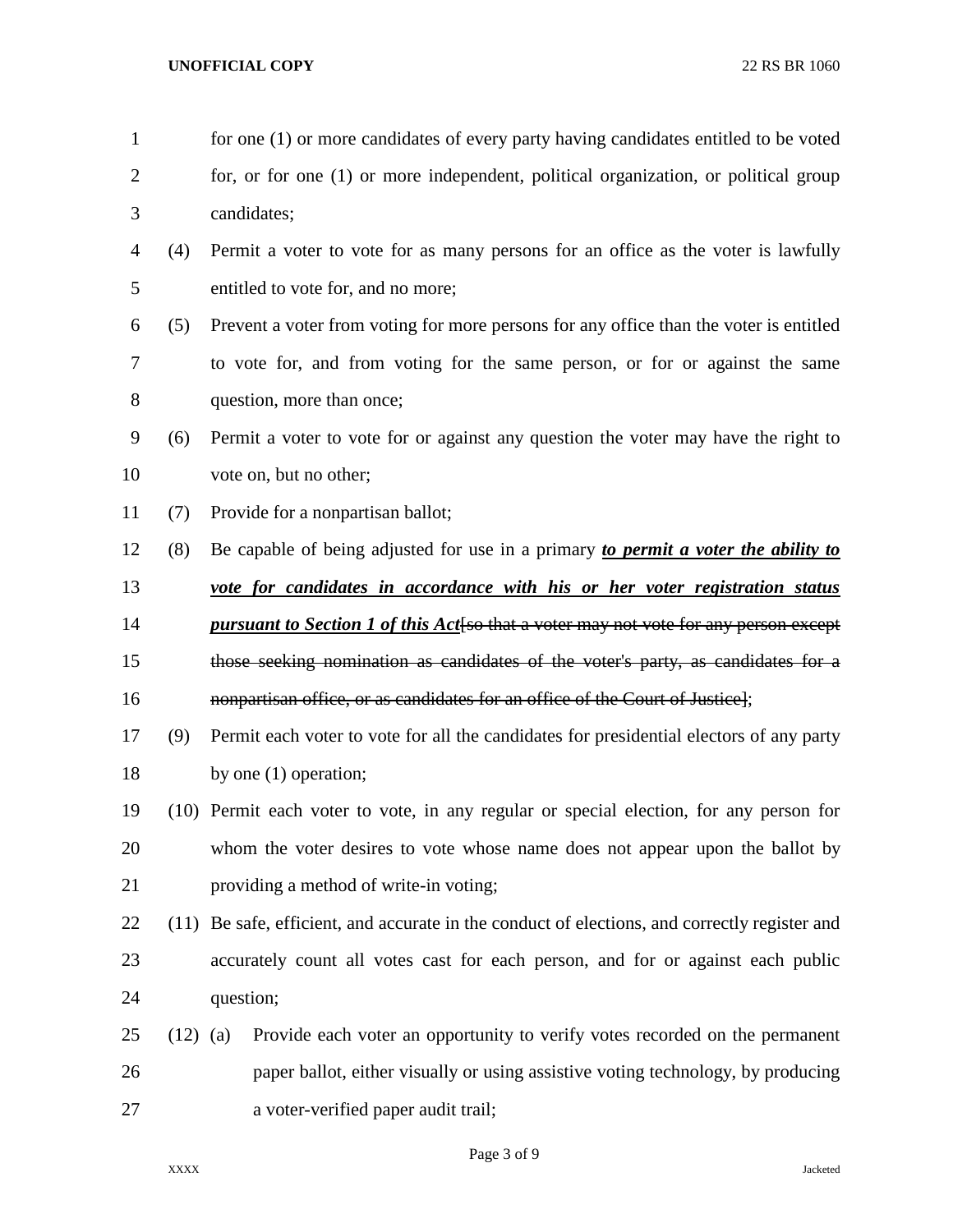- 1 for one (1) or more candidates of every party having candidates entitled to be voted for, or for one (1) or more independent, political organization, or political group candidates; (4) Permit a voter to vote for as many persons for an office as the voter is lawfully entitled to vote for, and no more; (5) Prevent a voter from voting for more persons for any office than the voter is entitled to vote for, and from voting for the same person, or for or against the same question, more than once; (6) Permit a voter to vote for or against any question the voter may have the right to vote on, but no other; (7) Provide for a nonpartisan ballot; (8) Be capable of being adjusted for use in a primary *to permit a voter the ability to vote for candidates in accordance with his or her voter registration status pursuant to Section 1 of this Act*[so that a voter may not vote for any person except those seeking nomination as candidates of the voter's party, as candidates for a **nonpartisan office, or as candidates for an office of the Court of Justice**]; (9) Permit each voter to vote for all the candidates for presidential electors of any party 18 by one (1) operation; (10) Permit each voter to vote, in any regular or special election, for any person for whom the voter desires to vote whose name does not appear upon the ballot by providing a method of write-in voting; (11) Be safe, efficient, and accurate in the conduct of elections, and correctly register and accurately count all votes cast for each person, and for or against each public question; (12) (a) Provide each voter an opportunity to verify votes recorded on the permanent paper ballot, either visually or using assistive voting technology, by producing a voter-verified paper audit trail;
	-

Page 3 of 9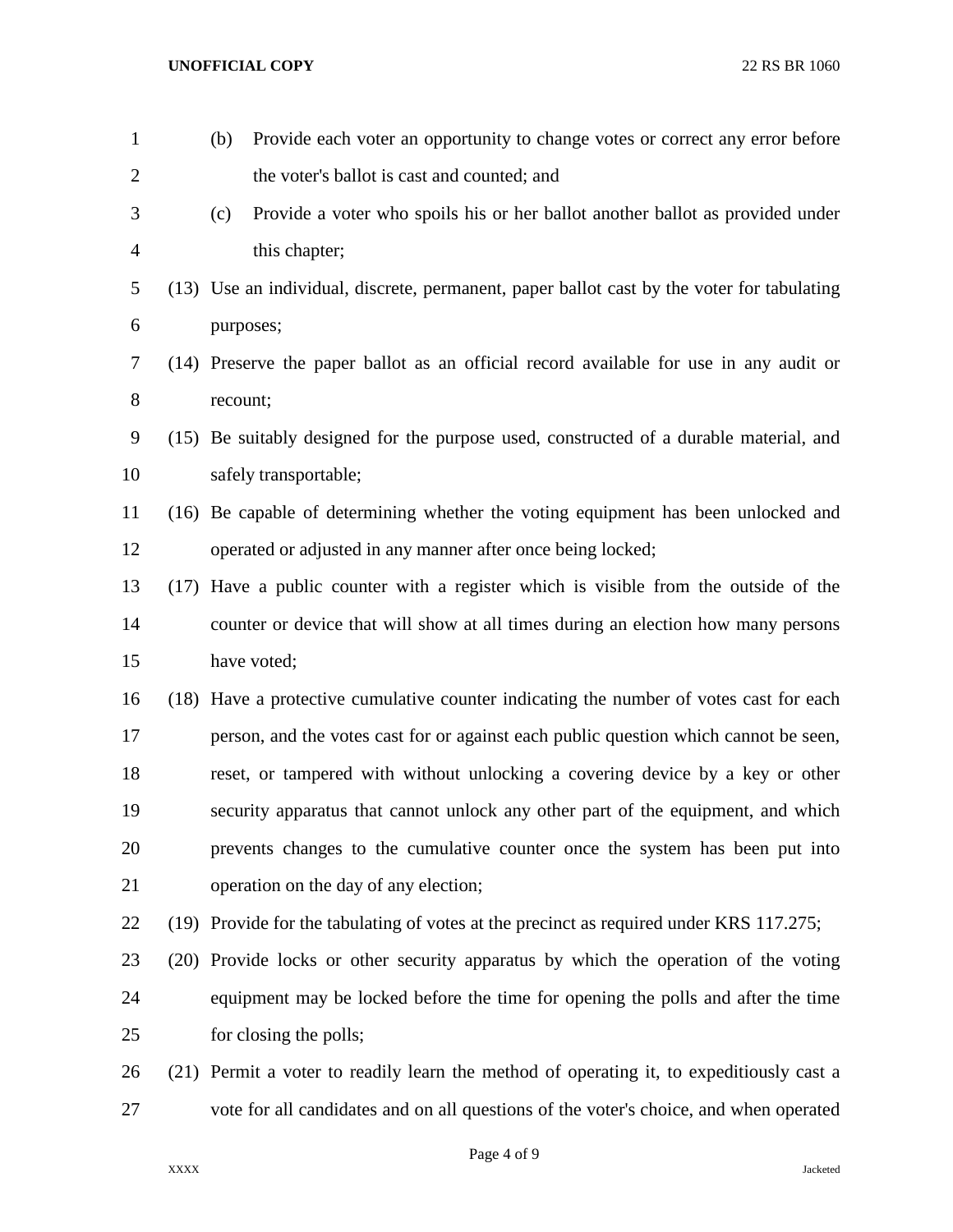| $\mathbf{1}$   | (b)      | Provide each voter an opportunity to change votes or correct any error before              |
|----------------|----------|--------------------------------------------------------------------------------------------|
| $\overline{2}$ |          | the voter's ballot is cast and counted; and                                                |
| 3              | (c)      | Provide a voter who spoils his or her ballot another ballot as provided under              |
| $\overline{4}$ |          | this chapter;                                                                              |
| 5              |          | (13) Use an individual, discrete, permanent, paper ballot cast by the voter for tabulating |
| 6              |          | purposes;                                                                                  |
| 7              |          | (14) Preserve the paper ballot as an official record available for use in any audit or     |
| $8\,$          | recount; |                                                                                            |
| 9              |          | (15) Be suitably designed for the purpose used, constructed of a durable material, and     |
| 10             |          | safely transportable;                                                                      |
| 11             |          | (16) Be capable of determining whether the voting equipment has been unlocked and          |
| 12             |          | operated or adjusted in any manner after once being locked;                                |
| 13             |          | (17) Have a public counter with a register which is visible from the outside of the        |
| 14             |          | counter or device that will show at all times during an election how many persons          |
| 15             |          | have voted;                                                                                |
| 16             |          | (18) Have a protective cumulative counter indicating the number of votes cast for each     |
| 17             |          | person, and the votes cast for or against each public question which cannot be seen,       |
| 18             |          | reset, or tampered with without unlocking a covering device by a key or other              |
| 19             |          | security apparatus that cannot unlock any other part of the equipment, and which           |
| 20             |          | prevents changes to the cumulative counter once the system has been put into               |
| 21             |          | operation on the day of any election;                                                      |
| 22             |          | (19) Provide for the tabulating of votes at the precinct as required under KRS 117.275;    |
| 23             |          | (20) Provide locks or other security apparatus by which the operation of the voting        |
| 24             |          | equipment may be locked before the time for opening the polls and after the time           |
| 25             |          | for closing the polls;                                                                     |
| 26             |          | (21) Permit a voter to readily learn the method of operating it, to expeditiously cast a   |
| 27             |          | vote for all candidates and on all questions of the voter's choice, and when operated      |

Page 4 of 9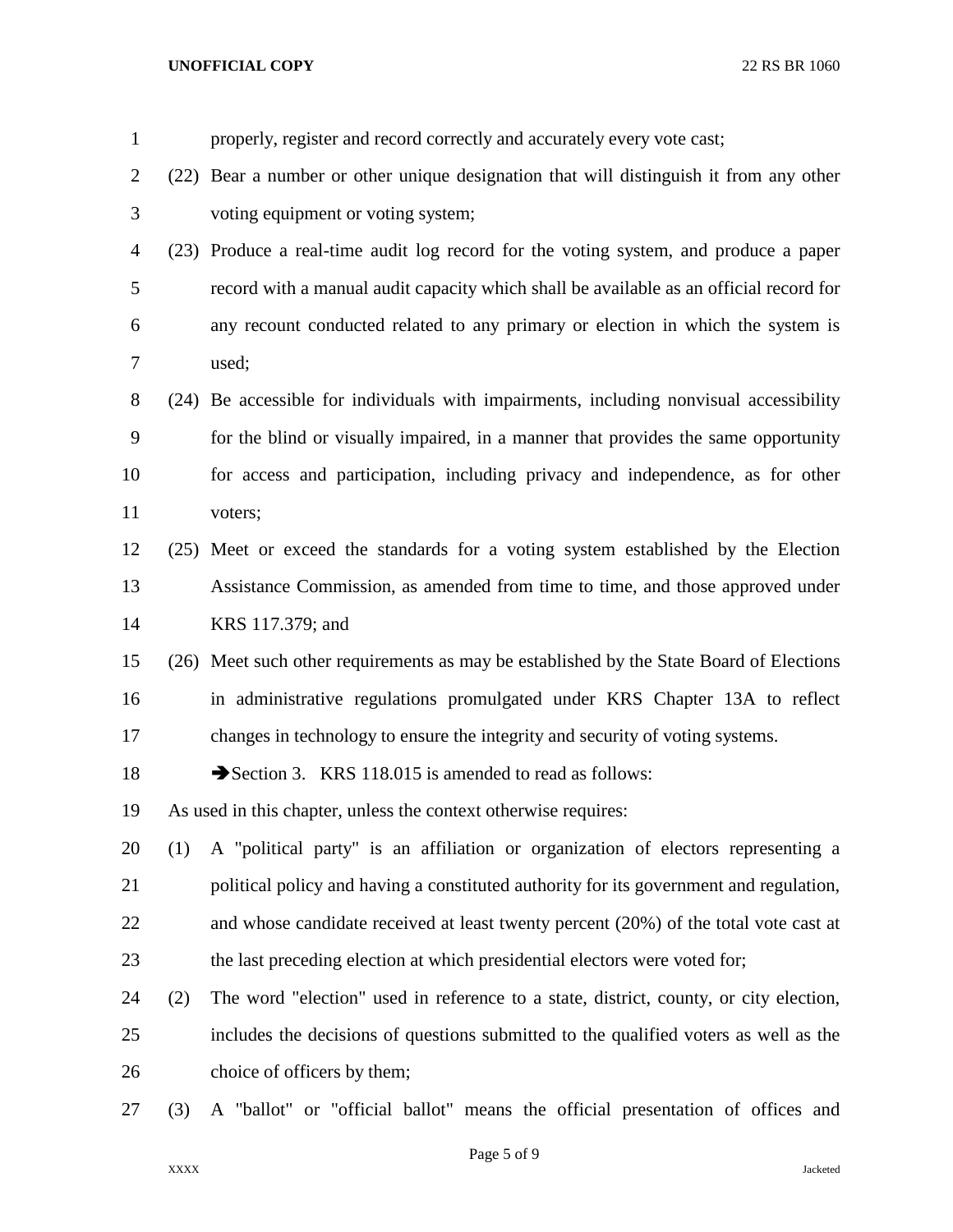| $\mathbf{1}$   |     | properly, register and record correctly and accurately every vote cast;                 |
|----------------|-----|-----------------------------------------------------------------------------------------|
| $\overline{2}$ |     | (22) Bear a number or other unique designation that will distinguish it from any other  |
| 3              |     | voting equipment or voting system;                                                      |
| 4              |     | (23) Produce a real-time audit log record for the voting system, and produce a paper    |
| 5              |     | record with a manual audit capacity which shall be available as an official record for  |
| 6              |     | any recount conducted related to any primary or election in which the system is         |
| 7              |     | used;                                                                                   |
| 8              |     | (24) Be accessible for individuals with impairments, including nonvisual accessibility  |
| 9              |     | for the blind or visually impaired, in a manner that provides the same opportunity      |
| 10             |     | for access and participation, including privacy and independence, as for other          |
| 11             |     | voters;                                                                                 |
| 12             |     | (25) Meet or exceed the standards for a voting system established by the Election       |
| 13             |     | Assistance Commission, as amended from time to time, and those approved under           |
| 14             |     | KRS 117.379; and                                                                        |
| 15             |     | (26) Meet such other requirements as may be established by the State Board of Elections |
| 16             |     | in administrative regulations promulgated under KRS Chapter 13A to reflect              |
| 17             |     | changes in technology to ensure the integrity and security of voting systems.           |
| 18             |     | Section 3. KRS 118.015 is amended to read as follows:                                   |
| 19             |     | As used in this chapter, unless the context otherwise requires:                         |
| 20             | (1) | A "political party" is an affiliation or organization of electors representing a        |
| 21             |     | political policy and having a constituted authority for its government and regulation,  |
| 22             |     | and whose candidate received at least twenty percent (20%) of the total vote cast at    |
| 23             |     | the last preceding election at which presidential electors were voted for;              |
| 24             | (2) | The word "election" used in reference to a state, district, county, or city election,   |
| 25             |     | includes the decisions of questions submitted to the qualified voters as well as the    |
| 26             |     | choice of officers by them;                                                             |
| 27             | (3) | A "ballot" or "official ballot" means the official presentation of offices and          |

Page 5 of 9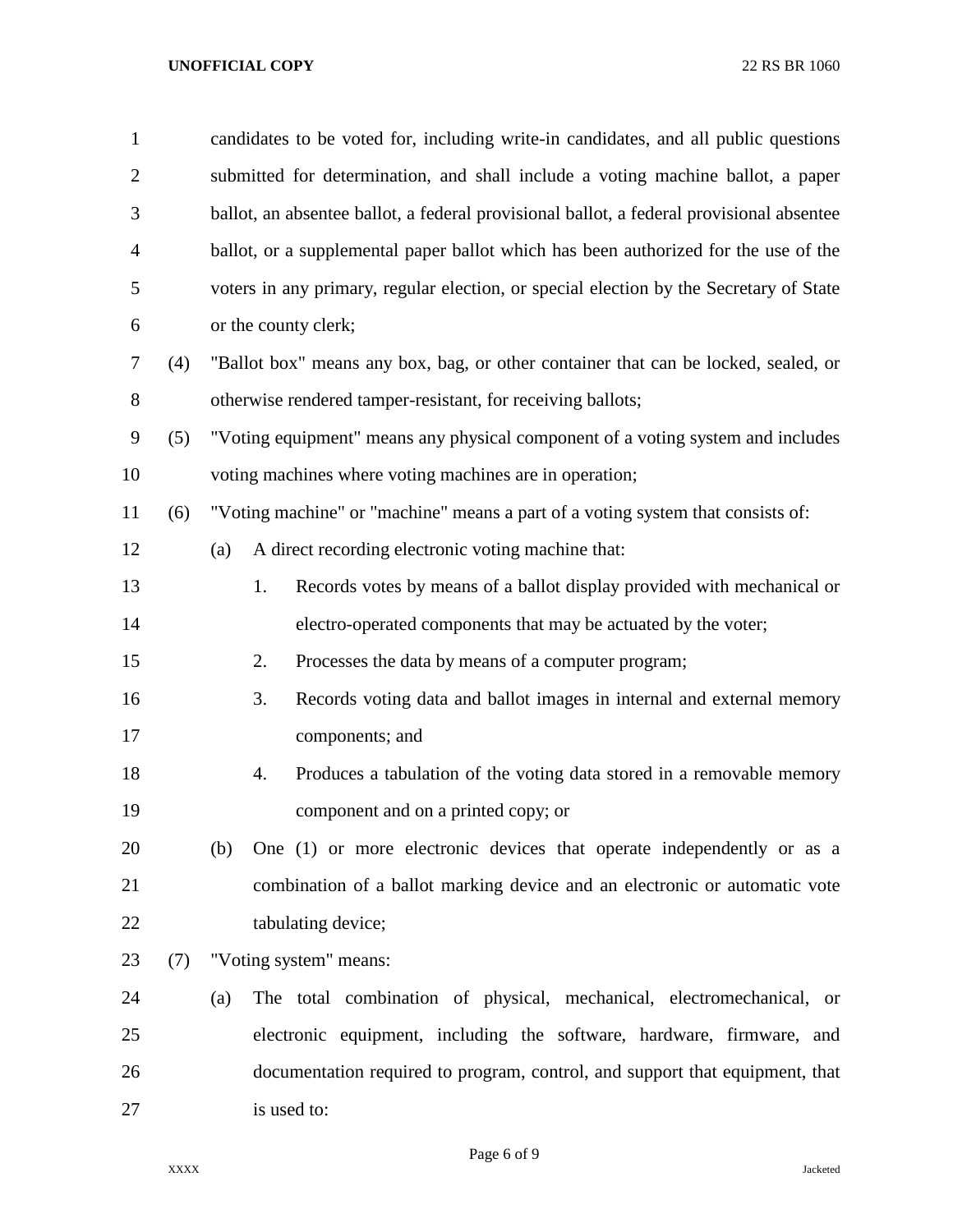| $\mathbf{1}$   |     |                                                                                    | candidates to be voted for, including write-in candidates, and all public questions      |  |  |  |
|----------------|-----|------------------------------------------------------------------------------------|------------------------------------------------------------------------------------------|--|--|--|
| $\overline{2}$ |     |                                                                                    | submitted for determination, and shall include a voting machine ballot, a paper          |  |  |  |
| 3              |     |                                                                                    | ballot, an absentee ballot, a federal provisional ballot, a federal provisional absentee |  |  |  |
| $\overline{4}$ |     |                                                                                    | ballot, or a supplemental paper ballot which has been authorized for the use of the      |  |  |  |
| 5              |     |                                                                                    | voters in any primary, regular election, or special election by the Secretary of State   |  |  |  |
| 6              |     |                                                                                    | or the county clerk;                                                                     |  |  |  |
| 7              | (4) | "Ballot box" means any box, bag, or other container that can be locked, sealed, or |                                                                                          |  |  |  |
| 8              |     |                                                                                    | otherwise rendered tamper-resistant, for receiving ballots;                              |  |  |  |
| 9              | (5) |                                                                                    | "Voting equipment" means any physical component of a voting system and includes          |  |  |  |
| 10             |     |                                                                                    | voting machines where voting machines are in operation;                                  |  |  |  |
| 11             | (6) |                                                                                    | "Voting machine" or "machine" means a part of a voting system that consists of:          |  |  |  |
| 12             |     | (a)                                                                                | A direct recording electronic voting machine that:                                       |  |  |  |
| 13             |     |                                                                                    | 1.<br>Records votes by means of a ballot display provided with mechanical or             |  |  |  |
| 14             |     |                                                                                    | electro-operated components that may be actuated by the voter;                           |  |  |  |
| 15             |     |                                                                                    | 2.<br>Processes the data by means of a computer program;                                 |  |  |  |
| 16             |     |                                                                                    | 3.<br>Records voting data and ballot images in internal and external memory              |  |  |  |
| 17             |     |                                                                                    | components; and                                                                          |  |  |  |
| 18             |     |                                                                                    | Produces a tabulation of the voting data stored in a removable memory<br>4.              |  |  |  |
| 19             |     |                                                                                    | component and on a printed copy; or                                                      |  |  |  |
| 20             |     | (b)                                                                                | One (1) or more electronic devices that operate independently or as a                    |  |  |  |
| 21             |     |                                                                                    | combination of a ballot marking device and an electronic or automatic vote               |  |  |  |
| 22             |     |                                                                                    | tabulating device;                                                                       |  |  |  |
| 23             | (7) |                                                                                    | "Voting system" means:                                                                   |  |  |  |
| 24             |     | (a)                                                                                | The total combination of physical, mechanical, electromechanical, or                     |  |  |  |
| 25             |     |                                                                                    | electronic equipment, including the software, hardware, firmware, and                    |  |  |  |
| 26             |     |                                                                                    | documentation required to program, control, and support that equipment, that             |  |  |  |
| 27             |     |                                                                                    | is used to:                                                                              |  |  |  |

Page 6 of 9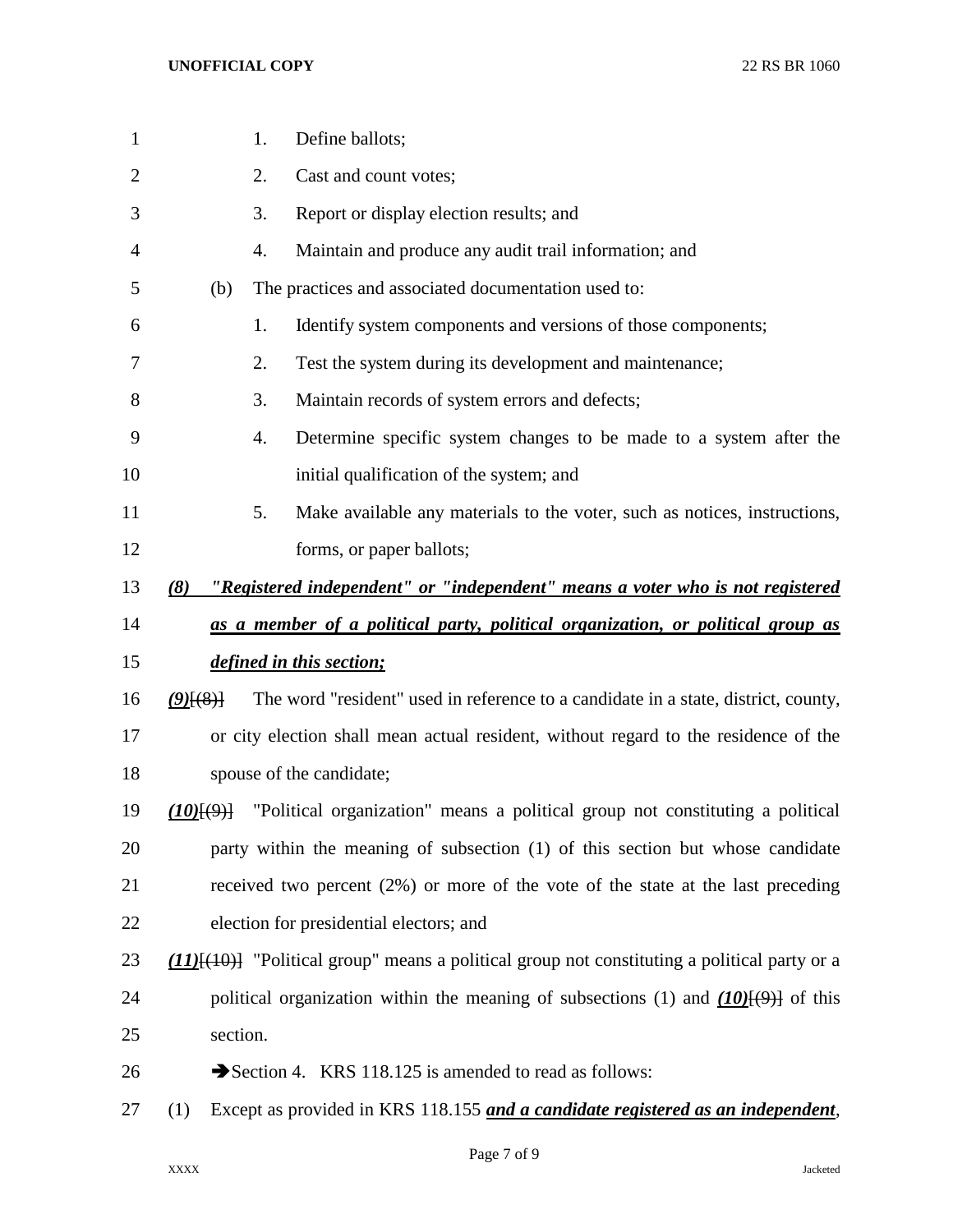| $\mathbf{1}$ |             | 1. | Define ballots;                                                                                     |
|--------------|-------------|----|-----------------------------------------------------------------------------------------------------|
| 2            |             | 2. | Cast and count votes;                                                                               |
| 3            |             | 3. | Report or display election results; and                                                             |
| 4            |             | 4. | Maintain and produce any audit trail information; and                                               |
| 5            | (b)         |    | The practices and associated documentation used to:                                                 |
| 6            |             | 1. | Identify system components and versions of those components;                                        |
| 7            |             | 2. | Test the system during its development and maintenance;                                             |
| 8            |             | 3. | Maintain records of system errors and defects;                                                      |
| 9            |             | 4. | Determine specific system changes to be made to a system after the                                  |
| 10           |             |    | initial qualification of the system; and                                                            |
| 11           |             | 5. | Make available any materials to the voter, such as notices, instructions,                           |
| 12           |             |    | forms, or paper ballots;                                                                            |
| 13           | (8)         |    | "Registered independent" or "independent" means a voter who is not registered                       |
| 14           |             |    | as a member of a political party, political organization, or political group as                     |
| 15           |             |    | defined in this section;                                                                            |
| 16           | $(9)$ $(8)$ |    | The word "resident" used in reference to a candidate in a state, district, county,                  |
| 17           |             |    | or city election shall mean actual resident, without regard to the residence of the                 |
| 18           |             |    | spouse of the candidate;                                                                            |
| 19           | (10)(9)     |    | "Political organization" means a political group not constituting a political                       |
| 20           |             |    | party within the meaning of subsection (1) of this section but whose candidate                      |
| 21           |             |    | received two percent (2%) or more of the vote of the state at the last preceding                    |
| 22           |             |    | election for presidential electors; and                                                             |
| 23           |             |    | $(11)$ [ $(10)$ ] "Political group" means a political group not constituting a political party or a |
| 24           |             |    | political organization within the meaning of subsections (1) and $(10)(9)$ of this                  |
| 25           | section.    |    |                                                                                                     |
| 26           |             |    | Section 4. KRS 118.125 is amended to read as follows:                                               |
| 27           | (1)         |    | Except as provided in KRS 118.155 and a candidate registered as an independent,                     |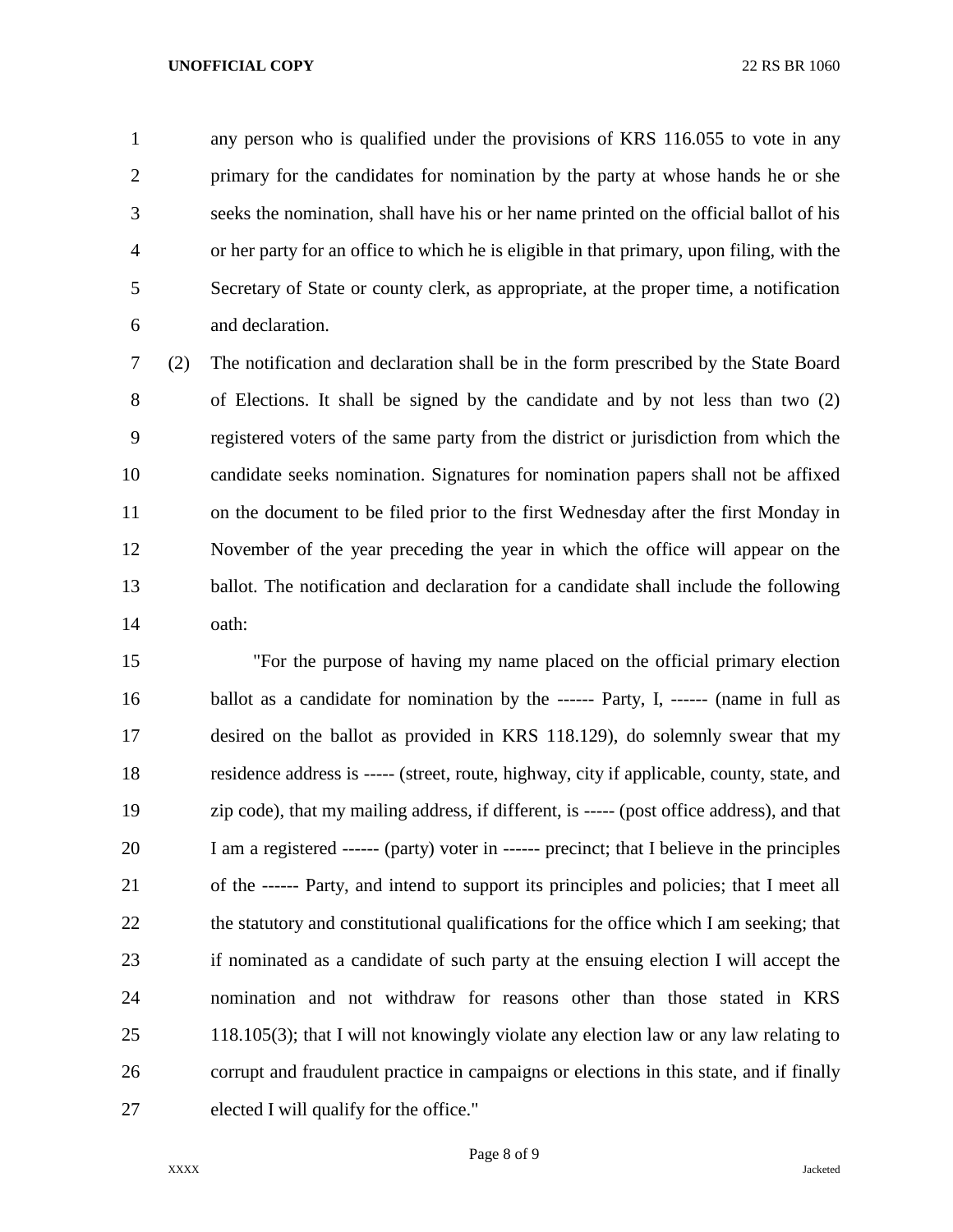any person who is qualified under the provisions of KRS 116.055 to vote in any primary for the candidates for nomination by the party at whose hands he or she seeks the nomination, shall have his or her name printed on the official ballot of his or her party for an office to which he is eligible in that primary, upon filing, with the Secretary of State or county clerk, as appropriate, at the proper time, a notification and declaration.

 (2) The notification and declaration shall be in the form prescribed by the State Board of Elections. It shall be signed by the candidate and by not less than two (2) registered voters of the same party from the district or jurisdiction from which the candidate seeks nomination. Signatures for nomination papers shall not be affixed on the document to be filed prior to the first Wednesday after the first Monday in November of the year preceding the year in which the office will appear on the ballot. The notification and declaration for a candidate shall include the following oath:

 "For the purpose of having my name placed on the official primary election 16 ballot as a candidate for nomination by the ------ Party, I, ------ (name in full as desired on the ballot as provided in KRS 118.129), do solemnly swear that my residence address is ----- (street, route, highway, city if applicable, county, state, and zip code), that my mailing address, if different, is ----- (post office address), and that I am a registered ------ (party) voter in ------ precinct; that I believe in the principles of the ------ Party, and intend to support its principles and policies; that I meet all 22 the statutory and constitutional qualifications for the office which I am seeking; that if nominated as a candidate of such party at the ensuing election I will accept the nomination and not withdraw for reasons other than those stated in KRS 118.105(3); that I will not knowingly violate any election law or any law relating to corrupt and fraudulent practice in campaigns or elections in this state, and if finally elected I will qualify for the office."

Page 8 of 9